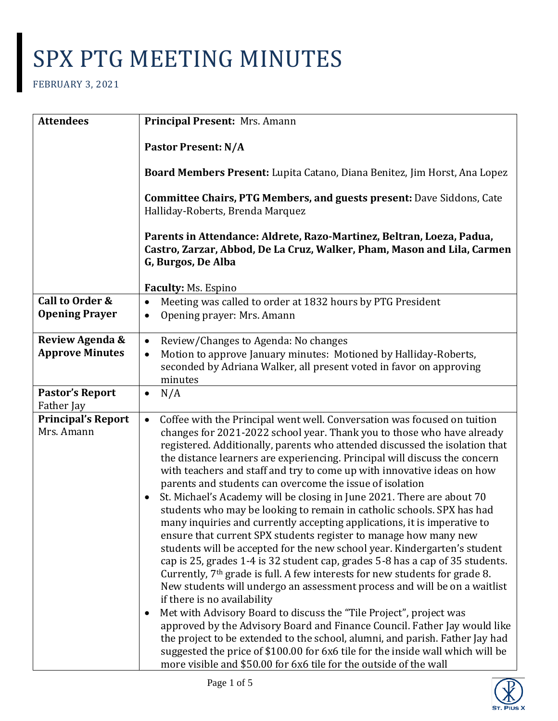| <b>Attendees</b>                                    | Principal Present: Mrs. Amann                                                                                                                                                                                                                                                                                                                                                                                                                                                                                                                                                                                                                                                                                                                                                                                                                                                                                                                                                                                                                                                                                                                                                                                                                                                                                                                                                                                                                                                                                                          |
|-----------------------------------------------------|----------------------------------------------------------------------------------------------------------------------------------------------------------------------------------------------------------------------------------------------------------------------------------------------------------------------------------------------------------------------------------------------------------------------------------------------------------------------------------------------------------------------------------------------------------------------------------------------------------------------------------------------------------------------------------------------------------------------------------------------------------------------------------------------------------------------------------------------------------------------------------------------------------------------------------------------------------------------------------------------------------------------------------------------------------------------------------------------------------------------------------------------------------------------------------------------------------------------------------------------------------------------------------------------------------------------------------------------------------------------------------------------------------------------------------------------------------------------------------------------------------------------------------------|
|                                                     | <b>Pastor Present: N/A</b>                                                                                                                                                                                                                                                                                                                                                                                                                                                                                                                                                                                                                                                                                                                                                                                                                                                                                                                                                                                                                                                                                                                                                                                                                                                                                                                                                                                                                                                                                                             |
|                                                     | Board Members Present: Lupita Catano, Diana Benitez, Jim Horst, Ana Lopez                                                                                                                                                                                                                                                                                                                                                                                                                                                                                                                                                                                                                                                                                                                                                                                                                                                                                                                                                                                                                                                                                                                                                                                                                                                                                                                                                                                                                                                              |
|                                                     | <b>Committee Chairs, PTG Members, and guests present: Dave Siddons, Cate</b><br>Halliday-Roberts, Brenda Marquez                                                                                                                                                                                                                                                                                                                                                                                                                                                                                                                                                                                                                                                                                                                                                                                                                                                                                                                                                                                                                                                                                                                                                                                                                                                                                                                                                                                                                       |
|                                                     | Parents in Attendance: Aldrete, Razo-Martinez, Beltran, Loeza, Padua,<br>Castro, Zarzar, Abbod, De La Cruz, Walker, Pham, Mason and Lila, Carmen<br>G, Burgos, De Alba                                                                                                                                                                                                                                                                                                                                                                                                                                                                                                                                                                                                                                                                                                                                                                                                                                                                                                                                                                                                                                                                                                                                                                                                                                                                                                                                                                 |
|                                                     | Faculty: Ms. Espino                                                                                                                                                                                                                                                                                                                                                                                                                                                                                                                                                                                                                                                                                                                                                                                                                                                                                                                                                                                                                                                                                                                                                                                                                                                                                                                                                                                                                                                                                                                    |
| <b>Call to Order &amp;</b><br><b>Opening Prayer</b> | Meeting was called to order at 1832 hours by PTG President<br>$\bullet$<br>Opening prayer: Mrs. Amann<br>$\bullet$                                                                                                                                                                                                                                                                                                                                                                                                                                                                                                                                                                                                                                                                                                                                                                                                                                                                                                                                                                                                                                                                                                                                                                                                                                                                                                                                                                                                                     |
| Review Agenda &                                     | Review/Changes to Agenda: No changes<br>$\bullet$                                                                                                                                                                                                                                                                                                                                                                                                                                                                                                                                                                                                                                                                                                                                                                                                                                                                                                                                                                                                                                                                                                                                                                                                                                                                                                                                                                                                                                                                                      |
| <b>Approve Minutes</b>                              | Motion to approve January minutes: Motioned by Halliday-Roberts,<br>$\bullet$<br>seconded by Adriana Walker, all present voted in favor on approving<br>minutes                                                                                                                                                                                                                                                                                                                                                                                                                                                                                                                                                                                                                                                                                                                                                                                                                                                                                                                                                                                                                                                                                                                                                                                                                                                                                                                                                                        |
| <b>Pastor's Report</b><br>Father Jay                | N/A<br>$\bullet$                                                                                                                                                                                                                                                                                                                                                                                                                                                                                                                                                                                                                                                                                                                                                                                                                                                                                                                                                                                                                                                                                                                                                                                                                                                                                                                                                                                                                                                                                                                       |
| <b>Principal's Report</b><br>Mrs. Amann             | Coffee with the Principal went well. Conversation was focused on tuition<br>$\bullet$<br>changes for 2021-2022 school year. Thank you to those who have already<br>registered. Additionally, parents who attended discussed the isolation that<br>the distance learners are experiencing. Principal will discuss the concern<br>with teachers and staff and try to come up with innovative ideas on how<br>parents and students can overcome the issue of isolation<br>St. Michael's Academy will be closing in June 2021. There are about 70<br>students who may be looking to remain in catholic schools. SPX has had<br>many inquiries and currently accepting applications, it is imperative to<br>ensure that current SPX students register to manage how many new<br>students will be accepted for the new school year. Kindergarten's student<br>cap is 25, grades 1-4 is 32 student cap, grades 5-8 has a cap of 35 students.<br>Currently, 7 <sup>th</sup> grade is full. A few interests for new students for grade 8.<br>New students will undergo an assessment process and will be on a waitlist<br>if there is no availability<br>Met with Advisory Board to discuss the "Tile Project", project was<br>approved by the Advisory Board and Finance Council. Father Jay would like<br>the project to be extended to the school, alumni, and parish. Father Jay had<br>suggested the price of \$100.00 for 6x6 tile for the inside wall which will be<br>more visible and \$50.00 for 6x6 tile for the outside of the wall |

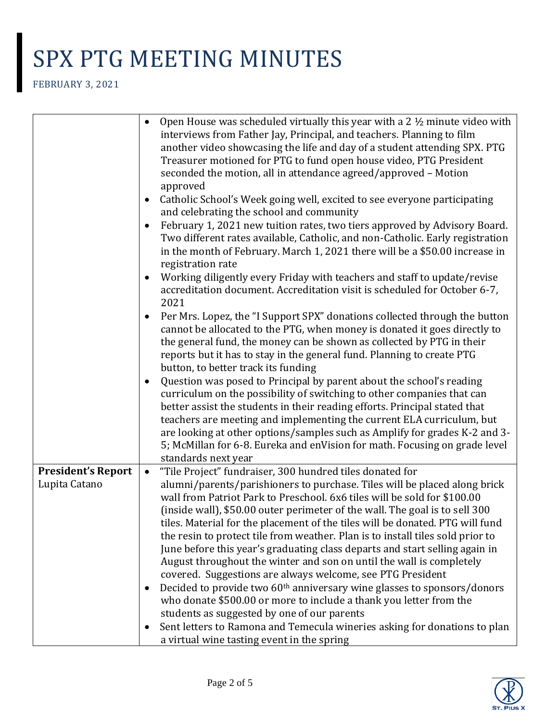|                                            | Open House was scheduled virtually this year with a 2 $\frac{1}{2}$ minute video with<br>$\bullet$                                                                                                                                                                                                                                                                                                                                                                                                                                                                                                                                                                                                                                                                                                                                                                                                                                                                                                          |
|--------------------------------------------|-------------------------------------------------------------------------------------------------------------------------------------------------------------------------------------------------------------------------------------------------------------------------------------------------------------------------------------------------------------------------------------------------------------------------------------------------------------------------------------------------------------------------------------------------------------------------------------------------------------------------------------------------------------------------------------------------------------------------------------------------------------------------------------------------------------------------------------------------------------------------------------------------------------------------------------------------------------------------------------------------------------|
|                                            | interviews from Father Jay, Principal, and teachers. Planning to film<br>another video showcasing the life and day of a student attending SPX. PTG<br>Treasurer motioned for PTG to fund open house video, PTG President<br>seconded the motion, all in attendance agreed/approved - Motion<br>approved                                                                                                                                                                                                                                                                                                                                                                                                                                                                                                                                                                                                                                                                                                     |
|                                            | Catholic School's Week going well, excited to see everyone participating<br>$\bullet$<br>and celebrating the school and community                                                                                                                                                                                                                                                                                                                                                                                                                                                                                                                                                                                                                                                                                                                                                                                                                                                                           |
|                                            | February 1, 2021 new tuition rates, two tiers approved by Advisory Board.<br>$\bullet$<br>Two different rates available, Catholic, and non-Catholic. Early registration<br>in the month of February. March 1, 2021 there will be a \$50.00 increase in<br>registration rate                                                                                                                                                                                                                                                                                                                                                                                                                                                                                                                                                                                                                                                                                                                                 |
|                                            | Working diligently every Friday with teachers and staff to update/revise<br>accreditation document. Accreditation visit is scheduled for October 6-7,<br>2021                                                                                                                                                                                                                                                                                                                                                                                                                                                                                                                                                                                                                                                                                                                                                                                                                                               |
|                                            | Per Mrs. Lopez, the "I Support SPX" donations collected through the button<br>cannot be allocated to the PTG, when money is donated it goes directly to<br>the general fund, the money can be shown as collected by PTG in their<br>reports but it has to stay in the general fund. Planning to create PTG<br>button, to better track its funding                                                                                                                                                                                                                                                                                                                                                                                                                                                                                                                                                                                                                                                           |
|                                            | Question was posed to Principal by parent about the school's reading                                                                                                                                                                                                                                                                                                                                                                                                                                                                                                                                                                                                                                                                                                                                                                                                                                                                                                                                        |
|                                            | curriculum on the possibility of switching to other companies that can<br>better assist the students in their reading efforts. Principal stated that<br>teachers are meeting and implementing the current ELA curriculum, but<br>are looking at other options/samples such as Amplify for grades K-2 and 3-<br>5; McMillan for 6-8. Eureka and enVision for math. Focusing on grade level                                                                                                                                                                                                                                                                                                                                                                                                                                                                                                                                                                                                                   |
|                                            | standards next year                                                                                                                                                                                                                                                                                                                                                                                                                                                                                                                                                                                                                                                                                                                                                                                                                                                                                                                                                                                         |
| <b>President's Report</b><br>Lupita Catano | "Tile Project" fundraiser, 300 hundred tiles donated for<br>$\bullet$<br>alumni/parents/parishioners to purchase. Tiles will be placed along brick<br>wall from Patriot Park to Preschool. 6x6 tiles will be sold for \$100.00<br>(inside wall), \$50.00 outer perimeter of the wall. The goal is to sell 300<br>tiles. Material for the placement of the tiles will be donated. PTG will fund<br>the resin to protect tile from weather. Plan is to install tiles sold prior to<br>June before this year's graduating class departs and start selling again in<br>August throughout the winter and son on until the wall is completely<br>covered. Suggestions are always welcome, see PTG President<br>Decided to provide two 60 <sup>th</sup> anniversary wine glasses to sponsors/donors<br>$\bullet$<br>who donate \$500.00 or more to include a thank you letter from the<br>students as suggested by one of our parents<br>Sent letters to Ramona and Temecula wineries asking for donations to plan |
|                                            | a virtual wine tasting event in the spring                                                                                                                                                                                                                                                                                                                                                                                                                                                                                                                                                                                                                                                                                                                                                                                                                                                                                                                                                                  |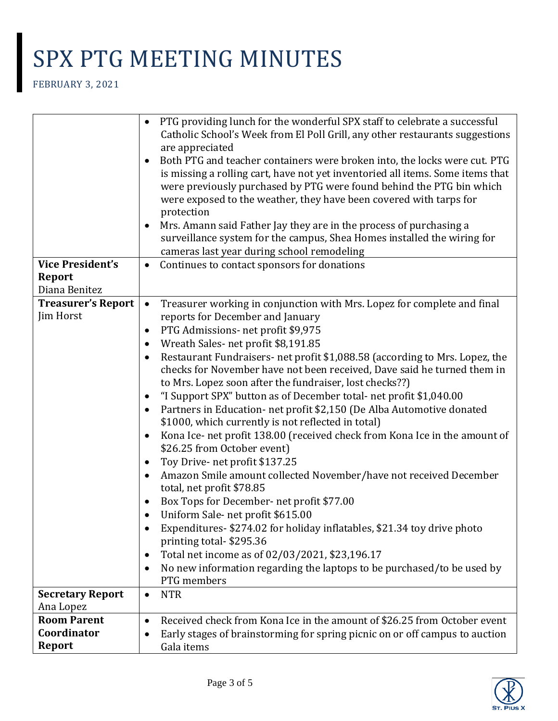|                                        | PTG providing lunch for the wonderful SPX staff to celebrate a successful<br>$\bullet$                                   |
|----------------------------------------|--------------------------------------------------------------------------------------------------------------------------|
|                                        | Catholic School's Week from El Poll Grill, any other restaurants suggestions                                             |
|                                        | are appreciated                                                                                                          |
|                                        | Both PTG and teacher containers were broken into, the locks were cut. PTG<br>$\bullet$                                   |
|                                        | is missing a rolling cart, have not yet inventoried all items. Some items that                                           |
|                                        | were previously purchased by PTG were found behind the PTG bin which                                                     |
|                                        | were exposed to the weather, they have been covered with tarps for                                                       |
|                                        | protection                                                                                                               |
|                                        | Mrs. Amann said Father Jay they are in the process of purchasing a<br>$\bullet$                                          |
|                                        | surveillance system for the campus, Shea Homes installed the wiring for                                                  |
|                                        | cameras last year during school remodeling                                                                               |
| <b>Vice President's</b>                | Continues to contact sponsors for donations<br>$\bullet$                                                                 |
| <b>Report</b>                          |                                                                                                                          |
| Diana Benitez                          |                                                                                                                          |
| <b>Treasurer's Report</b><br>Jim Horst | Treasurer working in conjunction with Mrs. Lopez for complete and final<br>$\bullet$<br>reports for December and January |
|                                        | PTG Admissions- net profit \$9,975<br>$\bullet$                                                                          |
|                                        | Wreath Sales-net profit \$8,191.85<br>٠                                                                                  |
|                                        | Restaurant Fundraisers- net profit \$1,088.58 (according to Mrs. Lopez, the<br>٠                                         |
|                                        | checks for November have not been received, Dave said he turned them in                                                  |
|                                        | to Mrs. Lopez soon after the fundraiser, lost checks??)                                                                  |
|                                        | "I Support SPX" button as of December total- net profit \$1,040.00<br>٠                                                  |
|                                        | Partners in Education- net profit \$2,150 (De Alba Automotive donated<br>٠                                               |
|                                        | \$1000, which currently is not reflected in total)                                                                       |
|                                        | Kona Ice- net profit 138.00 (received check from Kona Ice in the amount of<br>$\bullet$                                  |
|                                        | \$26.25 from October event)                                                                                              |
|                                        | Toy Drive- net profit \$137.25<br>$\bullet$                                                                              |
|                                        | Amazon Smile amount collected November/have not received December<br>٠                                                   |
|                                        | total, net profit \$78.85                                                                                                |
|                                        | Box Tops for December- net profit \$77.00<br>$\bullet$                                                                   |
|                                        | Uniform Sale-net profit \$615.00                                                                                         |
|                                        | Expenditures- \$274.02 for holiday inflatables, \$21.34 toy drive photo                                                  |
|                                        | printing total-\$295.36                                                                                                  |
|                                        | Total net income as of 02/03/2021, \$23,196.17<br>٠                                                                      |
|                                        | No new information regarding the laptops to be purchased/to be used by<br>$\bullet$                                      |
|                                        | PTG members                                                                                                              |
| <b>Secretary Report</b>                | <b>NTR</b><br>$\bullet$                                                                                                  |
| Ana Lopez                              |                                                                                                                          |
| <b>Room Parent</b>                     | Received check from Kona Ice in the amount of \$26.25 from October event<br>$\bullet$                                    |
| Coordinator                            | Early stages of brainstorming for spring picnic on or off campus to auction                                              |
| <b>Report</b>                          | Gala items                                                                                                               |

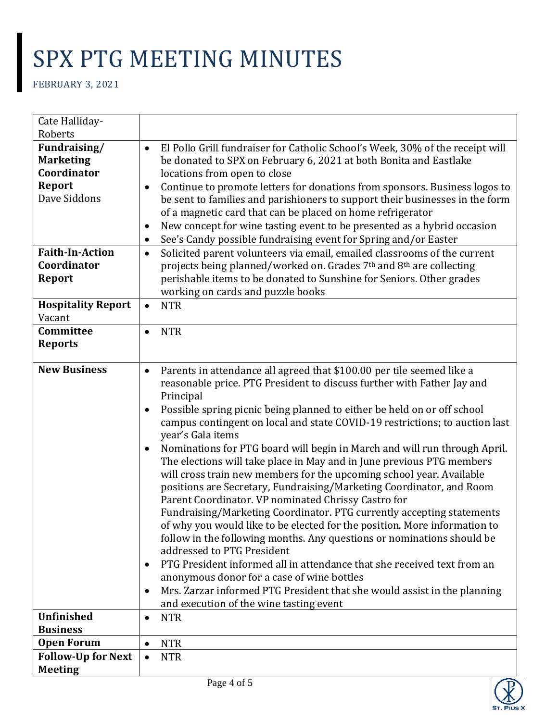| Cate Halliday-                         |                                                                                                                                                    |
|----------------------------------------|----------------------------------------------------------------------------------------------------------------------------------------------------|
| Roberts<br>Fundraising/                |                                                                                                                                                    |
| $\bullet$<br><b>Marketing</b>          | El Pollo Grill fundraiser for Catholic School's Week, 30% of the receipt will<br>be donated to SPX on February 6, 2021 at both Bonita and Eastlake |
| Coordinator                            | locations from open to close                                                                                                                       |
| <b>Report</b><br>٠                     | Continue to promote letters for donations from sponsors. Business logos to                                                                         |
| Dave Siddons                           | be sent to families and parishioners to support their businesses in the form                                                                       |
|                                        | of a magnetic card that can be placed on home refrigerator                                                                                         |
| $\bullet$                              | New concept for wine tasting event to be presented as a hybrid occasion                                                                            |
| $\bullet$                              | See's Candy possible fundraising event for Spring and/or Easter                                                                                    |
| <b>Faith-In-Action</b><br>$\bullet$    | Solicited parent volunteers via email, emailed classrooms of the current                                                                           |
| Coordinator                            | projects being planned/worked on. Grades 7th and 8th are collecting                                                                                |
| <b>Report</b>                          | perishable items to be donated to Sunshine for Seniors. Other grades                                                                               |
|                                        | working on cards and puzzle books                                                                                                                  |
| <b>Hospitality Report</b><br>$\bullet$ | <b>NTR</b>                                                                                                                                         |
| Vacant                                 |                                                                                                                                                    |
| Committee                              | <b>NTR</b>                                                                                                                                         |
| <b>Reports</b>                         |                                                                                                                                                    |
| <b>New Business</b>                    |                                                                                                                                                    |
| $\bullet$                              | Parents in attendance all agreed that \$100.00 per tile seemed like a<br>reasonable price. PTG President to discuss further with Father Jay and    |
|                                        | Principal                                                                                                                                          |
| $\bullet$                              | Possible spring picnic being planned to either be held on or off school                                                                            |
|                                        | campus contingent on local and state COVID-19 restrictions; to auction last                                                                        |
|                                        | year's Gala items                                                                                                                                  |
| $\bullet$                              | Nominations for PTG board will begin in March and will run through April.                                                                          |
|                                        | The elections will take place in May and in June previous PTG members                                                                              |
|                                        | will cross train new members for the upcoming school year. Available                                                                               |
|                                        | positions are Secretary, Fundraising/Marketing Coordinator, and Room                                                                               |
|                                        | Parent Coordinator. VP nominated Chrissy Castro for                                                                                                |
|                                        | Fundraising/Marketing Coordinator. PTG currently accepting statements                                                                              |
|                                        | of why you would like to be elected for the position. More information to                                                                          |
|                                        | follow in the following months. Any questions or nominations should be                                                                             |
|                                        | addressed to PTG President                                                                                                                         |
| $\bullet$                              | PTG President informed all in attendance that she received text from an                                                                            |
|                                        | anonymous donor for a case of wine bottles                                                                                                         |
| $\bullet$                              | Mrs. Zarzar informed PTG President that she would assist in the planning<br>and execution of the wine tasting event                                |
| <b>Unfinished</b><br>$\bullet$         | <b>NTR</b>                                                                                                                                         |
| <b>Business</b>                        |                                                                                                                                                    |
| <b>Open Forum</b><br>$\bullet$         | <b>NTR</b>                                                                                                                                         |
| <b>Follow-Up for Next</b><br>$\bullet$ | <b>NTR</b>                                                                                                                                         |
| <b>Meeting</b>                         |                                                                                                                                                    |